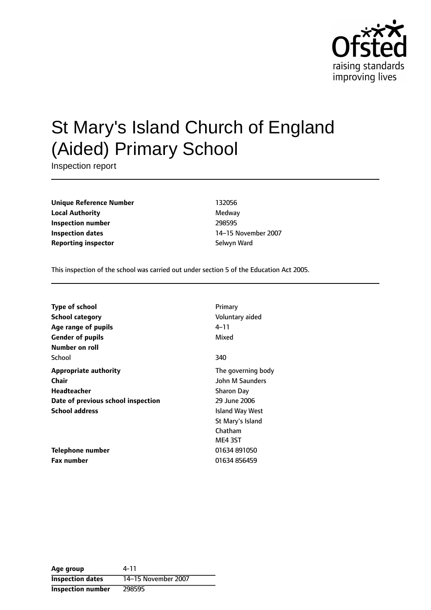

# St Mary's Island Church of England (Aided) Primary School

Inspection report

**Unique Reference Number** 132056 **Local Authority** Medway **Inspection number** 298595 **Inspection dates** 14-15 November 2007 **Reporting inspector** Selwyn Ward

This inspection of the school was carried out under section 5 of the Education Act 2005.

| Type of school                     | Primary            |
|------------------------------------|--------------------|
| <b>School category</b>             | Voluntary aided    |
| Age range of pupils                | 4–11               |
| <b>Gender of pupils</b>            | Mixed              |
| Number on roll                     |                    |
| School                             | 340                |
| <b>Appropriate authority</b>       | The governing body |
| <b>Chair</b>                       | John M Saunders    |
| <b>Headteacher</b>                 | <b>Sharon Day</b>  |
| Date of previous school inspection | 29 June 2006       |
| <b>School address</b>              | Island Way West    |
|                                    | St Mary's Island   |
|                                    | Chatham            |
|                                    | ME4 3ST            |
| Telephone number                   | 01634891050        |
| <b>Fax number</b>                  | 01634 856459       |

**Age group** 4-11 **Inspection dates** 14-15 November 2007 **Inspection number** 298595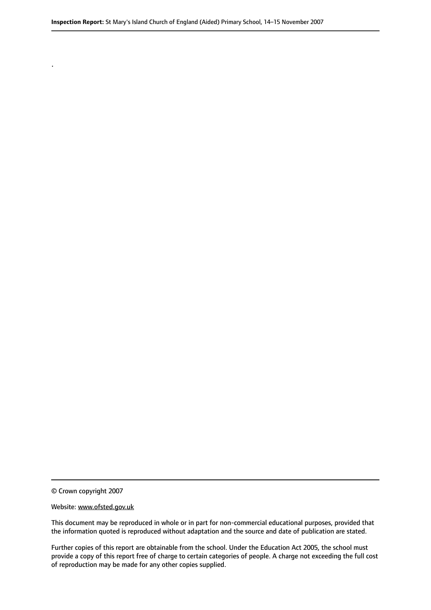© Crown copyright 2007

.

#### Website: www.ofsted.gov.uk

This document may be reproduced in whole or in part for non-commercial educational purposes, provided that the information quoted is reproduced without adaptation and the source and date of publication are stated.

Further copies of this report are obtainable from the school. Under the Education Act 2005, the school must provide a copy of this report free of charge to certain categories of people. A charge not exceeding the full cost of reproduction may be made for any other copies supplied.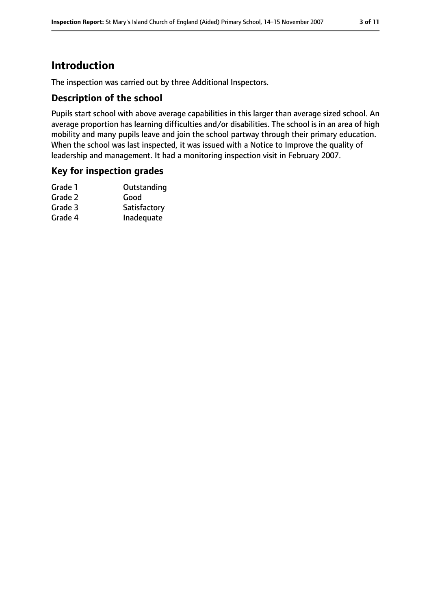# **Introduction**

The inspection was carried out by three Additional Inspectors.

## **Description of the school**

Pupils start school with above average capabilities in this larger than average sized school. An average proportion has learning difficulties and/or disabilities. The school is in an area of high mobility and many pupils leave and join the school partway through their primary education. When the school was last inspected, it was issued with a Notice to Improve the quality of leadership and management. It had a monitoring inspection visit in February 2007.

### **Key for inspection grades**

| Outstanding  |
|--------------|
| Good         |
| Satisfactory |
| Inadequate   |
|              |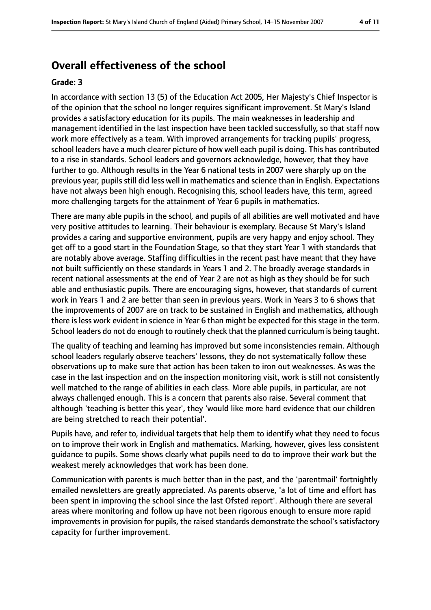# **Overall effectiveness of the school**

#### **Grade: 3**

In accordance with section 13 (5) of the Education Act 2005, Her Majesty's Chief Inspector is of the opinion that the school no longer requires significant improvement. St Mary's Island provides a satisfactory education for its pupils. The main weaknesses in leadership and management identified in the last inspection have been tackled successfully, so that staff now work more effectively as a team. With improved arrangements for tracking pupils' progress, school leaders have a much clearer picture of how well each pupil is doing. This has contributed to a rise in standards. School leaders and governors acknowledge, however, that they have further to go. Although results in the Year 6 national tests in 2007 were sharply up on the previous year, pupils still did less well in mathematics and science than in English. Expectations have not always been high enough. Recognising this, school leaders have, this term, agreed more challenging targets for the attainment of Year 6 pupils in mathematics.

There are many able pupils in the school, and pupils of all abilities are well motivated and have very positive attitudes to learning. Their behaviour is exemplary. Because St Mary's Island provides a caring and supportive environment, pupils are very happy and enjoy school. They get off to a good start in the Foundation Stage, so that they start Year 1 with standards that are notably above average. Staffing difficulties in the recent past have meant that they have not built sufficiently on these standards in Years 1 and 2. The broadly average standards in recent national assessments at the end of Year 2 are not as high as they should be for such able and enthusiastic pupils. There are encouraging signs, however, that standards of current work in Years 1 and 2 are better than seen in previous years. Work in Years 3 to 6 shows that the improvements of 2007 are on track to be sustained in English and mathematics, although there is less work evident in science in Year 6 than might be expected for this stage in the term. School leaders do not do enough to routinely check that the planned curriculum is being taught.

The quality of teaching and learning has improved but some inconsistencies remain. Although school leaders regularly observe teachers' lessons, they do not systematically follow these observations up to make sure that action has been taken to iron out weaknesses. As was the case in the last inspection and on the inspection monitoring visit, work is still not consistently well matched to the range of abilities in each class. More able pupils, in particular, are not always challenged enough. This is a concern that parents also raise. Several comment that although 'teaching is better this year', they 'would like more hard evidence that our children are being stretched to reach their potential'.

Pupils have, and refer to, individual targets that help them to identify what they need to focus on to improve their work in English and mathematics. Marking, however, gives less consistent guidance to pupils. Some shows clearly what pupils need to do to improve their work but the weakest merely acknowledges that work has been done.

Communication with parents is much better than in the past, and the 'parentmail' fortnightly emailed newsletters are greatly appreciated. As parents observe, 'a lot of time and effort has been spent in improving the school since the last Ofsted report'. Although there are several areas where monitoring and follow up have not been rigorous enough to ensure more rapid improvements in provision for pupils, the raised standards demonstrate the school's satisfactory capacity for further improvement.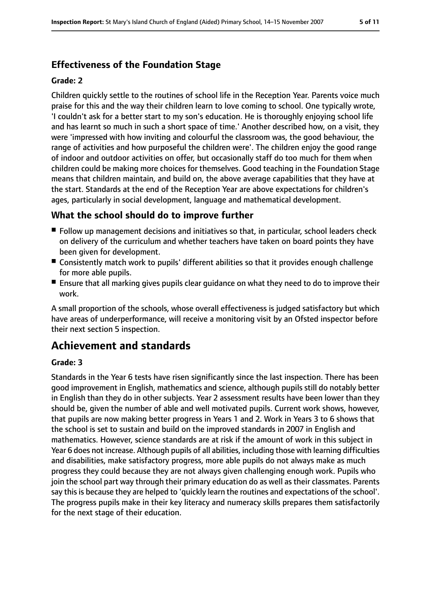# **Effectiveness of the Foundation Stage**

#### **Grade: 2**

Children quickly settle to the routines of school life in the Reception Year. Parents voice much praise for this and the way their children learn to love coming to school. One typically wrote, 'I couldn't ask for a better start to my son's education. He is thoroughly enjoying school life and has learnt so much in such a short space of time.' Another described how, on a visit, they were 'impressed with how inviting and colourful the classroom was, the good behaviour, the range of activities and how purposeful the children were'. The children enjoy the good range of indoor and outdoor activities on offer, but occasionally staff do too much for them when children could be making more choices for themselves. Good teaching in the Foundation Stage means that children maintain, and build on, the above average capabilities that they have at the start. Standards at the end of the Reception Year are above expectations for children's ages, particularly in social development, language and mathematical development.

## **What the school should do to improve further**

- Follow up management decisions and initiatives so that, in particular, school leaders check on delivery of the curriculum and whether teachers have taken on board points they have been given for development.
- Consistently match work to pupils' different abilities so that it provides enough challenge for more able pupils.
- Ensure that all marking gives pupils clear guidance on what they need to do to improve their work.

A small proportion of the schools, whose overall effectiveness is judged satisfactory but which have areas of underperformance, will receive a monitoring visit by an Ofsted inspector before their next section 5 inspection.

# **Achievement and standards**

#### **Grade: 3**

Standards in the Year 6 tests have risen significantly since the last inspection. There has been good improvement in English, mathematics and science, although pupils still do notably better in English than they do in other subjects. Year 2 assessment results have been lower than they should be, given the number of able and well motivated pupils. Current work shows, however, that pupils are now making better progress in Years 1 and 2. Work in Years 3 to 6 shows that the school is set to sustain and build on the improved standards in 2007 in English and mathematics. However, science standards are at risk if the amount of work in this subject in Year 6 does not increase. Although pupils of all abilities, including those with learning difficulties and disabilities, make satisfactory progress, more able pupils do not always make as much progress they could because they are not always given challenging enough work. Pupils who join the school part way through their primary education do as well as their classmates. Parents say this is because they are helped to 'quickly learn the routines and expectations of the school'. The progress pupils make in their key literacy and numeracy skills prepares them satisfactorily for the next stage of their education.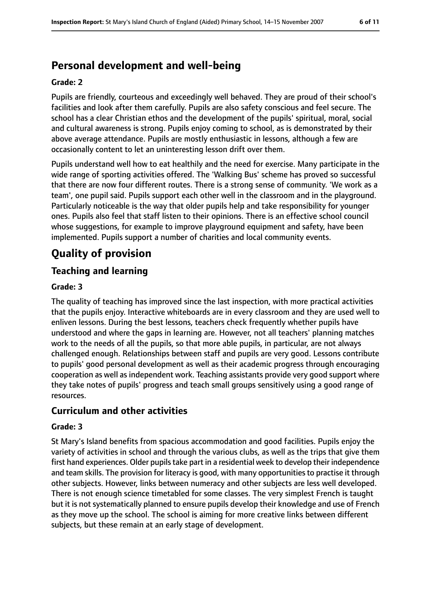# **Personal development and well-being**

#### **Grade: 2**

Pupils are friendly, courteous and exceedingly well behaved. They are proud of their school's facilities and look after them carefully. Pupils are also safety conscious and feel secure. The school has a clear Christian ethos and the development of the pupils' spiritual, moral, social and cultural awareness is strong. Pupils enjoy coming to school, as is demonstrated by their above average attendance. Pupils are mostly enthusiastic in lessons, although a few are occasionally content to let an uninteresting lesson drift over them.

Pupils understand well how to eat healthily and the need for exercise. Many participate in the wide range of sporting activities offered. The 'Walking Bus' scheme has proved so successful that there are now four different routes. There is a strong sense of community. 'We work as a team', one pupil said. Pupils support each other well in the classroom and in the playground. Particularly noticeable is the way that older pupils help and take responsibility for younger ones. Pupils also feel that staff listen to their opinions. There is an effective school council whose suggestions, for example to improve playground equipment and safety, have been implemented. Pupils support a number of charities and local community events.

# **Quality of provision**

## **Teaching and learning**

#### **Grade: 3**

The quality of teaching has improved since the last inspection, with more practical activities that the pupils enjoy. Interactive whiteboards are in every classroom and they are used well to enliven lessons. During the best lessons, teachers check frequently whether pupils have understood and where the gaps in learning are. However, not all teachers' planning matches work to the needs of all the pupils, so that more able pupils, in particular, are not always challenged enough. Relationships between staff and pupils are very good. Lessons contribute to pupils' good personal development as well as their academic progress through encouraging cooperation as well as independent work. Teaching assistants provide very good support where they take notes of pupils' progress and teach small groups sensitively using a good range of resources.

## **Curriculum and other activities**

#### **Grade: 3**

St Mary's Island benefits from spacious accommodation and good facilities. Pupils enjoy the variety of activities in school and through the various clubs, as well as the trips that give them first hand experiences. Older pupils take part in a residential week to develop their independence and team skills. The provision for literacy is good, with many opportunities to practise it through other subjects. However, links between numeracy and other subjects are less well developed. There is not enough science timetabled for some classes. The very simplest French is taught but it is not systematically planned to ensure pupils develop their knowledge and use of French as they move up the school. The school is aiming for more creative links between different subjects, but these remain at an early stage of development.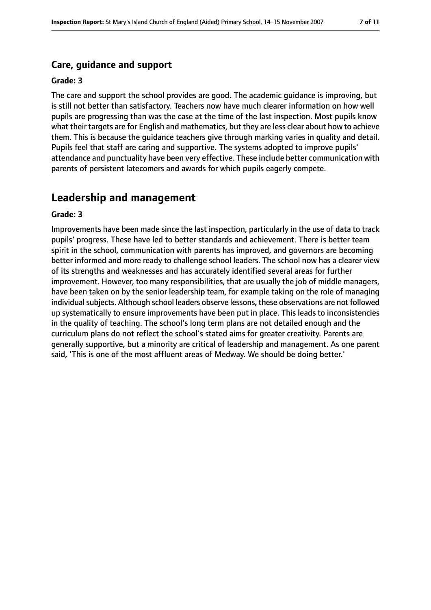## **Care, guidance and support**

#### **Grade: 3**

The care and support the school provides are good. The academic guidance is improving, but is still not better than satisfactory. Teachers now have much clearer information on how well pupils are progressing than was the case at the time of the last inspection. Most pupils know what their targets are for English and mathematics, but they are less clear about how to achieve them. This is because the guidance teachers give through marking varies in quality and detail. Pupils feel that staff are caring and supportive. The systems adopted to improve pupils' attendance and punctuality have been very effective. These include better communication with parents of persistent latecomers and awards for which pupils eagerly compete.

# **Leadership and management**

#### **Grade: 3**

Improvements have been made since the last inspection, particularly in the use of data to track pupils' progress. These have led to better standards and achievement. There is better team spirit in the school, communication with parents has improved, and governors are becoming better informed and more ready to challenge school leaders. The school now has a clearer view of its strengths and weaknesses and has accurately identified several areas for further improvement. However, too many responsibilities, that are usually the job of middle managers, have been taken on by the senior leadership team, for example taking on the role of managing individual subjects. Although school leaders observe lessons, these observations are not followed up systematically to ensure improvements have been put in place. This leads to inconsistencies in the quality of teaching. The school's long term plans are not detailed enough and the curriculum plans do not reflect the school's stated aims for greater creativity. Parents are generally supportive, but a minority are critical of leadership and management. As one parent said, 'This is one of the most affluent areas of Medway. We should be doing better.'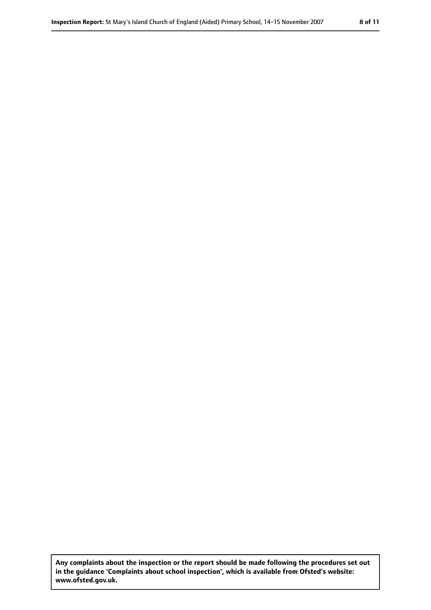**Any complaints about the inspection or the report should be made following the procedures set out in the guidance 'Complaints about school inspection', which is available from Ofsted's website: www.ofsted.gov.uk.**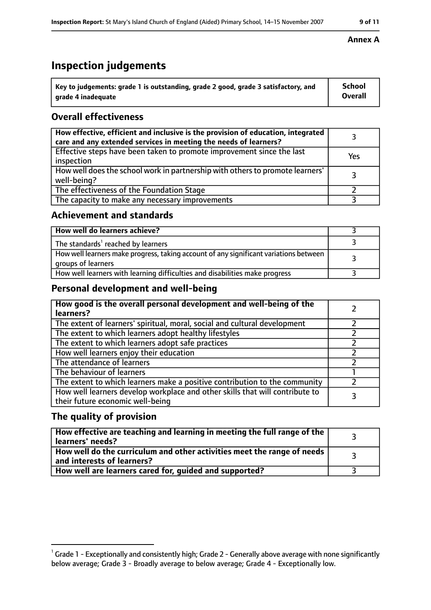# **Inspection judgements**

| $\degree$ Key to judgements: grade 1 is outstanding, grade 2 good, grade 3 satisfactory, and | School         |
|----------------------------------------------------------------------------------------------|----------------|
| arade 4 inadequate                                                                           | <b>Overall</b> |

# **Overall effectiveness**

| How effective, efficient and inclusive is the provision of education, integrated<br>care and any extended services in meeting the needs of learners? |     |
|------------------------------------------------------------------------------------------------------------------------------------------------------|-----|
| Effective steps have been taken to promote improvement since the last<br>inspection                                                                  | Yes |
| How well does the school work in partnership with others to promote learners'<br>well-being?                                                         | 3   |
| The effectiveness of the Foundation Stage                                                                                                            |     |
| The capacity to make any necessary improvements                                                                                                      |     |

## **Achievement and standards**

| How well do learners achieve?                                                                               |  |
|-------------------------------------------------------------------------------------------------------------|--|
| The standards <sup>1</sup> reached by learners                                                              |  |
| How well learners make progress, taking account of any significant variations between<br>groups of learners |  |
| How well learners with learning difficulties and disabilities make progress                                 |  |

# **Personal development and well-being**

| How good is the overall personal development and well-being of the<br>learners?                                  |  |
|------------------------------------------------------------------------------------------------------------------|--|
| The extent of learners' spiritual, moral, social and cultural development                                        |  |
| The extent to which learners adopt healthy lifestyles                                                            |  |
| The extent to which learners adopt safe practices                                                                |  |
| How well learners enjoy their education                                                                          |  |
| The attendance of learners                                                                                       |  |
| The behaviour of learners                                                                                        |  |
| The extent to which learners make a positive contribution to the community                                       |  |
| How well learners develop workplace and other skills that will contribute to<br>their future economic well-being |  |

## **The quality of provision**

| How effective are teaching and learning in meeting the full range of the<br>learners' needs?          |  |
|-------------------------------------------------------------------------------------------------------|--|
| How well do the curriculum and other activities meet the range of needs<br>and interests of learners? |  |
| How well are learners cared for, guided and supported?                                                |  |

#### **Annex A**

 $^1$  Grade 1 - Exceptionally and consistently high; Grade 2 - Generally above average with none significantly below average; Grade 3 - Broadly average to below average; Grade 4 - Exceptionally low.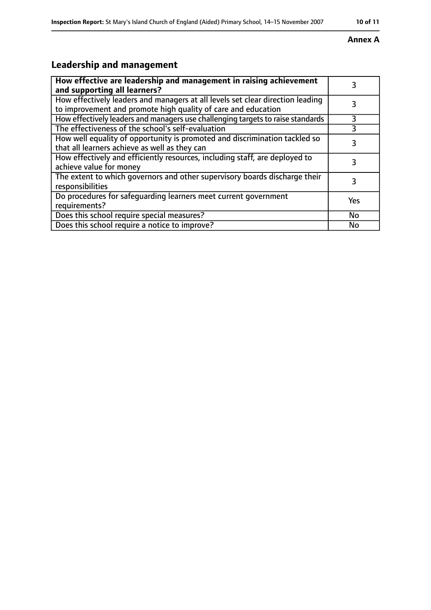#### **Annex A**

# **Leadership and management**

| How effective are leadership and management in raising achievement<br>and supporting all learners?                                              |     |
|-------------------------------------------------------------------------------------------------------------------------------------------------|-----|
| How effectively leaders and managers at all levels set clear direction leading<br>to improvement and promote high quality of care and education |     |
| How effectively leaders and managers use challenging targets to raise standards                                                                 | 3   |
| The effectiveness of the school's self-evaluation                                                                                               | 3   |
| How well equality of opportunity is promoted and discrimination tackled so<br>that all learners achieve as well as they can                     | 3   |
| How effectively and efficiently resources, including staff, are deployed to<br>achieve value for money                                          | 3   |
| The extent to which governors and other supervisory boards discharge their<br>responsibilities                                                  |     |
| Do procedures for safequarding learners meet current government<br>requirements?                                                                | Yes |
| Does this school require special measures?                                                                                                      | No  |
| Does this school require a notice to improve?                                                                                                   | No  |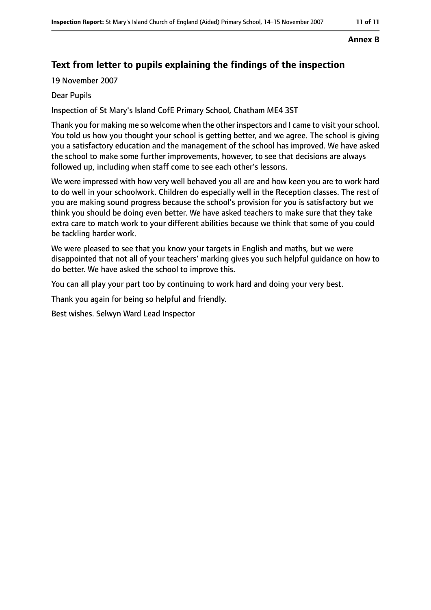#### **Annex B**

# **Text from letter to pupils explaining the findings of the inspection**

19 November 2007

#### Dear Pupils

Inspection of St Mary's Island CofE Primary School, Chatham ME4 3ST

Thank you for making me so welcome when the other inspectors and I came to visit yourschool. You told us how you thought your school is getting better, and we agree. The school is giving you a satisfactory education and the management of the school has improved. We have asked the school to make some further improvements, however, to see that decisions are always followed up, including when staff come to see each other's lessons.

We were impressed with how very well behaved you all are and how keen you are to work hard to do well in your schoolwork. Children do especially well in the Reception classes. The rest of you are making sound progress because the school's provision for you is satisfactory but we think you should be doing even better. We have asked teachers to make sure that they take extra care to match work to your different abilities because we think that some of you could be tackling harder work.

We were pleased to see that you know your targets in English and maths, but we were disappointed that not all of your teachers' marking gives you such helpful guidance on how to do better. We have asked the school to improve this.

You can all play your part too by continuing to work hard and doing your very best.

Thank you again for being so helpful and friendly.

Best wishes. Selwyn Ward Lead Inspector